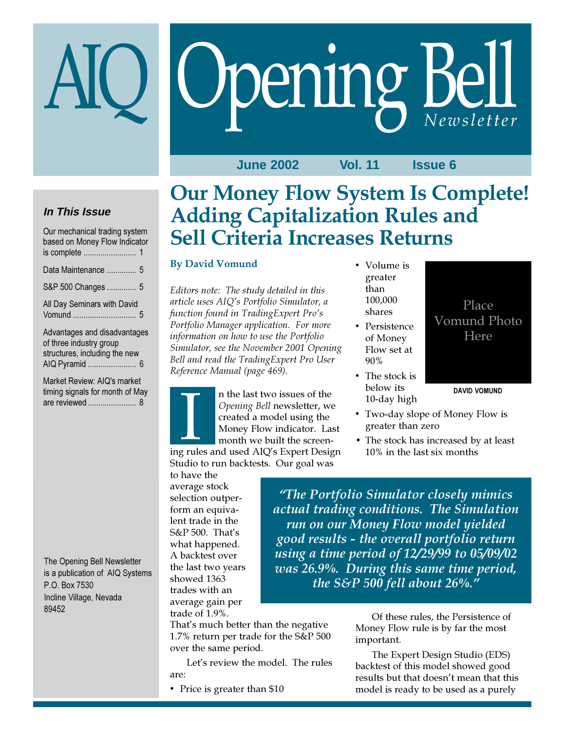# Opening Bell

**June 2002 Vol. 11 Issue 6**

# **In This Issue**

| Our mechanical trading system<br>based on Money Flow Indicator |  |
|----------------------------------------------------------------|--|
| Data Maintenance  5                                            |  |
| S&P 500 Changes  5                                             |  |
| All Day Seminars with David                                    |  |
| Advertiser and disadvantages                                   |  |

Advantages and disadvantages of three industry group structures, including the new AIQ Pyramid ....................... 6

Market Review: AIQ's market timing signals for month of May are reviewed ....................... 8

The Opening Bell Newsletter is a publication of AIQ Systems P.O. Box 7530 Incline Village, Nevada 89452

# Our Money Flow System Is Complete! Adding Capitalization Rules and Sell Criteria Increases Returns

# By David Vomund

Editors note: The study detailed in this article uses AIQ's Portfolio Simulator, a function found in TradingExpert Pro's Portfolio Manager application. For more information on how to use the Portfolio Simulator, see the November 2001 Opening Bell and read the TradingExpert Pro User Reference Manual (page 469).

n the last two issues of the Opening Bell newsletter, we created a model using the Money Flow indicator. Last month we built the screen-In the last two issues of the<br> *Opening Bell* newsletter, we<br>
created a model using the<br>
Money Flow indicator. Last<br>
month we built the screen-<br>
ing rules and used AIQ's Expert Design Studio to run backtests. Our goal was

to have the average stock selection outperform an equivalent trade in the S&P 500. That's what happened. A backtest over the last two years showed 1363 trades with an average gain per trade of 1.9%.

That's much better than the negative 1.7% return per trade for the S&P 500 over the same period.

Let's review the model. The rules are:

• Price is greater than \$10

- Volume is greater than 100,000 shares
- Persistence of Money Flow set at 90%
- The stock is below its 10-day high
- Two-day slope of Money Flow is greater than zero
- The stock has increased by at least 10% in the last six months

Place Vomund Photo Here

DAVID VOMUND

"The Portfolio Simulator closely mimics actual trading conditions. The Simulation run on our Money Flow model yielded good results - the overall portfolio return using a time period of 12/29/99 to 05/09/02 was 26.9%. During this same time period, the S&P 500 fell about 26%."

> Of these rules, the Persistence of Money Flow rule is by far the most important.

The Expert Design Studio (EDS) backtest of this model showed good results but that doesn't mean that this model is ready to be used as a purely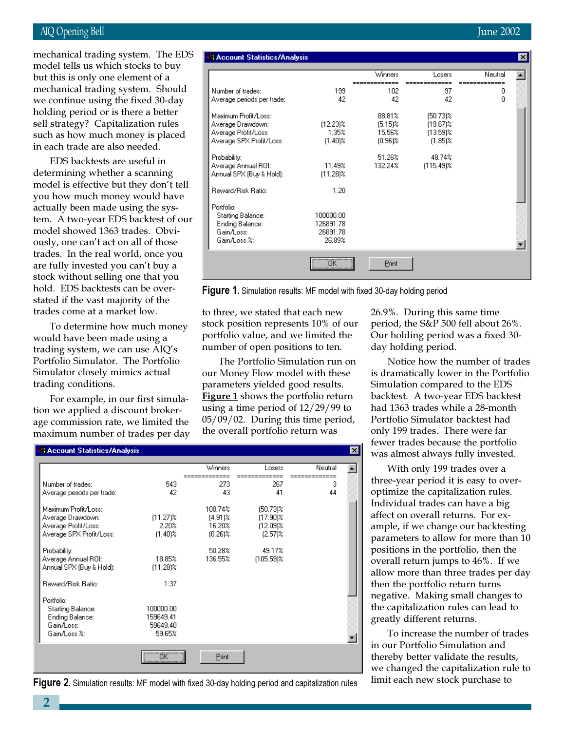# AIQ Opening Bell June 2002

mechanical trading system. Should mechanical trading system. The EDS model tells us which stocks to buy but this is only one element of a we continue using the fixed 30-day holding period or is there a better sell strategy? Capitalization rules such as how much money is placed in each trade are also needed.

EDS backtests are useful in determining whether a scanning model is effective but they don't tell you how much money would have actually been made using the system. A two-year EDS backtest of our model showed 1363 trades. Obviously, one can't act on all of those trades. In the real world, once you are fully invested you can't buy a stock without selling one that you hold. EDS backtests can be overstated if the vast majority of the trades come at a market low.

To determine how much money would have been made using a trading system, we can use AIQ's Portfolio Simulator. The Portfolio Simulator closely mimics actual trading conditions.

For example, in our first simulation we applied a discount brokerage commission rate, we limited the maximum number of trades per day

**Account Statistics/Analusi** 

| <b>A Account Statistics/Analysis</b>                                                                   |                                                      |                                              |                                                         |         | × |
|--------------------------------------------------------------------------------------------------------|------------------------------------------------------|----------------------------------------------|---------------------------------------------------------|---------|---|
|                                                                                                        |                                                      | <b>Winners</b>                               | Losers                                                  | Neutral |   |
| Number of trades:<br>Average periods per trade:                                                        | 199<br>42                                            | 102<br>42                                    | 97<br>42                                                | 0<br>0  |   |
| Maximum Profit/Loss:<br>Average Drawdown:<br>Average Profit/Loss:<br>Average SPX Profit/Loss:          | $[12.23]$ %<br>1.35%<br>$(1.40)$ %                   | 88.81%<br>$(5.15)$ %<br>15.56%<br>$(0.96)$ % | $(50.73)$ %<br>$(19.67)\%$<br>$(13.59)$ %<br>$(1.85)$ % |         |   |
| Probability:<br>Average Annual ROI:<br>Annual SPX (Buy & Hold):                                        | 11.49%<br>$(11.28)\%$                                | 51.26%<br>132.24%                            | 48.74%<br>$(115.49)$ %                                  |         |   |
| Reward/Risk Ratio:<br>Portfolio:<br>Starting Balance:<br>Ending Balance:<br>Gain/Loss:<br>Gain/Loss %: | 1.20<br>100000.00<br>126891.78<br>26891.78<br>26.89% |                                              |                                                         |         |   |
|                                                                                                        | $\overline{\mathsf{OK}}$                             | Print                                        |                                                         |         |   |

Figure 1. Simulation results: MF model with fixed 30-day holding period

न्न

to three, we stated that each new stock position represents 10% of our portfolio value, and we limited the number of open positions to ten.

The Portfolio Simulation run on our Money Flow model with these parameters yielded good results. Figure 1 shows the portfolio return using a time period of 12/29/99 to 05/09/02. During this time period, the overall portfolio return was

|                            |                          | Winners    | Losers       | Neutral |  |
|----------------------------|--------------------------|------------|--------------|---------|--|
|                            |                          |            |              |         |  |
| Number of trades:          | 543                      | 273        | 267          | 3       |  |
| Average periods per trade: | 42                       | 43         | 41           | 44      |  |
| Maximum Profit/Loss:       |                          | 108.74%    | $(50.73)$ %  |         |  |
| Average Drawdown:          | $(11.27)$ %              | $(4.91)$ % | $(17.90)$ %  |         |  |
| Average Profit/Loss:       | 2.20%                    | 16.20%     | $(12.09)$ %  |         |  |
| Average SPX Profit/Loss:   | $(1.40)$ %               | $(0.26)$ % | $(2.57)$ %   |         |  |
|                            |                          |            |              |         |  |
| Probability:               |                          | 50.28%     | 49.17%       |         |  |
| Average Annual ROI:        | 18.85%                   | 136.55%    | $(105.59)$ % |         |  |
| Annual SPX (Buy & Hold):   | $(11.28)$ %              |            |              |         |  |
|                            |                          |            |              |         |  |
| Reward/Risk Ratio:         | 1.37                     |            |              |         |  |
|                            |                          |            |              |         |  |
| Portfolio:                 |                          |            |              |         |  |
| Starting Balance:          | 100000.00                |            |              |         |  |
| Ending Balance:            | 159649.41                |            |              |         |  |
| Gain/Loss:                 | 59649.40                 |            |              |         |  |
| Gain/Loss %:               | 59.65%                   |            |              |         |  |
|                            |                          |            |              |         |  |
|                            | $\overline{\mathsf{OK}}$ | Print      |              |         |  |

Figure 2. Simulation results: MF model with fixed 30-day holding period and capitalization rules

26.9%. During this same time period, the S&P 500 fell about 26%. Our holding period was a fixed 30 day holding period.

Notice how the number of trades is dramatically lower in the Portfolio Simulation compared to the EDS backtest. A two-year EDS backtest had 1363 trades while a 28-month Portfolio Simulator backtest had only 199 trades. There were far fewer trades because the portfolio was almost always fully invested.

With only 199 trades over a three-year period it is easy to overoptimize the capitalization rules. Individual trades can have a big affect on overall returns. For example, if we change our backtesting parameters to allow for more than 10 positions in the portfolio, then the overall return jumps to 46%. If we allow more than three trades per day then the portfolio return turns negative. Making small changes to the capitalization rules can lead to greatly different returns.

To increase the number of trades in our Portfolio Simulation and thereby better validate the results, we changed the capitalization rule to limit each new stock purchase to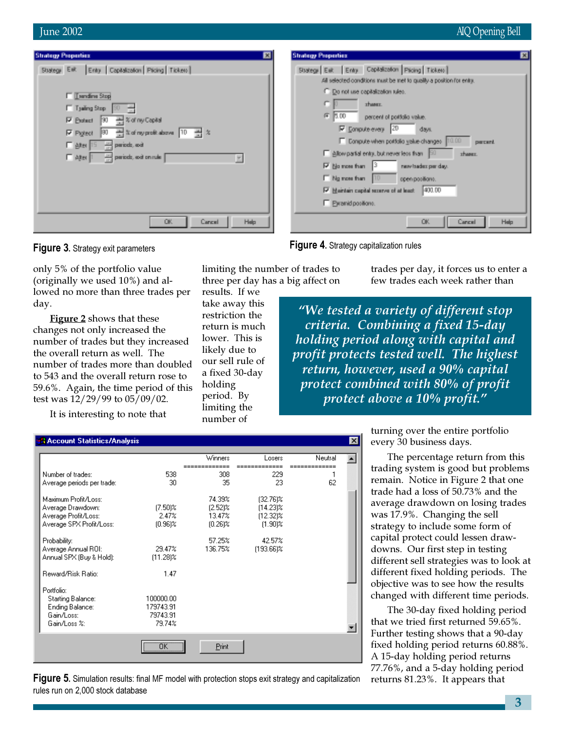| <b>Strategy Properties</b>                                                                                                                                                                                                                                                     | E                                                                                                                                                                                                                                                                                                                                                                                                                                                                                                                                                 |
|--------------------------------------------------------------------------------------------------------------------------------------------------------------------------------------------------------------------------------------------------------------------------------|---------------------------------------------------------------------------------------------------------------------------------------------------------------------------------------------------------------------------------------------------------------------------------------------------------------------------------------------------------------------------------------------------------------------------------------------------------------------------------------------------------------------------------------------------|
| E                                                                                                                                                                                                                                                                              | <b>Strategy Properties</b>                                                                                                                                                                                                                                                                                                                                                                                                                                                                                                                        |
| Enly Capitalization Picing Tickets<br>Stategy Est<br><b>T Landina Stop</b><br>□ Tjaling Stop  <br>区 Protect  30<br>곡 % of ny Capital<br>And Suding profit above 10 - And X<br>190.<br>$F$ Pigteot<br>periods, and<br><b>厂 alter</b>  15<br>periods, and on rule<br>$\Box$ ages | Stategy Eat: Entry Capitalization Picing Tickets<br>All selected conditions mat be net to quality a position for entry.<br>C. Do not use copilalization rules.<br>shares.<br>疵<br>0.00<br>percent of pottolio value.<br>P Lonpute every 20<br><b>days</b> .<br>E Ecopute when pottolic yelue changes  10.00<br>percent.<br>Figliox partial entry, but never less than [50]<br>these.<br><b>▽ No more than</b><br>new trader per day.<br>F Ng non han 10<br>орепроийски.<br>400.00<br>V Naintain capital secures of at least<br>E Examidpositions. |
| Help.                                                                                                                                                                                                                                                                          | Heig.                                                                                                                                                                                                                                                                                                                                                                                                                                                                                                                                             |
| OK.                                                                                                                                                                                                                                                                            | OK.                                                                                                                                                                                                                                                                                                                                                                                                                                                                                                                                               |
| Cancel                                                                                                                                                                                                                                                                         | Cancel                                                                                                                                                                                                                                                                                                                                                                                                                                                                                                                                            |



only 5% of the portfolio value (originally we used 10%) and allowed no more than three trades per day.

**Figure 2** shows that these changes not only increased the number of trades but they increased the overall return as well. The number of trades more than doubled to 543 and the overall return rose to 59.6%. Again, the time period of this test was 12/29/99 to 05/09/02.

It is interesting to note that

limiting the number of trades to three per day has a big affect on

results. If we take away this restriction the return is much lower. This is likely due to our sell rule of a fixed 30-day holding period. By limiting the number of



trades per day, it forces us to enter a few trades each week rather than

"We tested a variety of different stop criteria. Combining a fixed 15-day holding period along with capital and profit protects tested well. The highest return, however, used a 90% capital protect combined with 80% of profit protect above a 10% profit."

| turning over the entire portfolio |  |
|-----------------------------------|--|
| every 30 business days.           |  |

The percentage return from this trading system is good but problems remain. Notice in Figure 2 that one trade had a loss of 50.73% and the average drawdown on losing trades was 17.9%. Changing the sell strategy to include some form of capital protect could lessen drawdowns. Our first step in testing different sell strategies was to look at different fixed holding periods. The objective was to see how the results changed with different time periods.

The 30-day fixed holding period that we tried first returned 59.65%. Further testing shows that a 90-day fixed holding period returns 60.88%. A 15-day holding period returns 77.76%, and a 5-day holding period returns 81.23%. It appears that

|                            |             | Winners    | Losers       | Neutral |  |
|----------------------------|-------------|------------|--------------|---------|--|
| Number of trades:          | 538         | 308        | 229          |         |  |
| Average periods per trade: | 30          | 35         | 23           | 62      |  |
| Maximum Profit/Loss:       |             | 74.39%     | $[32.76]$ %  |         |  |
| Average Drawdown:          | $(7.50)$ %  | $(2.52)$ % | $(14.23)$ %  |         |  |
| Average Profit/Loss:       | 2.47%       | 13.47%     | $[12.32]$ %  |         |  |
| Average SPX Profit/Loss:   | $(0.96)$ %  | $(0.26)$ % | $(1.90)$ %   |         |  |
| Probability:               |             | 57.25%     | 42.57%       |         |  |
| Average Annual ROI:        | 29.47%      | 136.75%    | $[193.66]$ % |         |  |
| Annual SPX (Buy & Hold):   | $(11.28)$ % |            |              |         |  |
| Reward/Risk Ratio:         | 1.47        |            |              |         |  |
| Portfolio:                 |             |            |              |         |  |
| Starting Balance:          | 100000.00   |            |              |         |  |
| Ending Balance:            | 179743.91   |            |              |         |  |
| Gain/Loss:                 | 79743.91    |            |              |         |  |
| Gain/Loss %:               | 79.74%      |            |              |         |  |
|                            |             |            |              |         |  |

**Figure 5.** Simulation results: final MF model with protection stops exit strategy and capitalization rules run on 2,000 stock database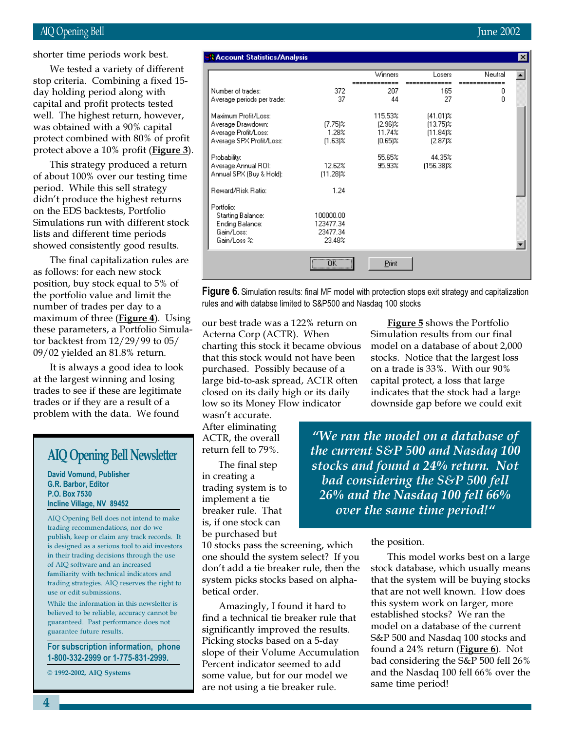# AIQ Opening Bell June 2002

March 2002 day holding period along with We tested a variety of different stop criteria. Combining a fixed 15 capital and profit protects tested well. The highest return, however, was obtained with a 90% capital protect combined with 80% of profit protect above a 10% profit (**Figure 3**).

This strategy produced a return of about 100% over our testing time period. While this sell strategy didn't produce the highest returns on the EDS backtests, Portfolio Simulations run with different stock lists and different time periods showed consistently good results.

The final capitalization rules are as follows: for each new stock position, buy stock equal to 5% of the portfolio value and limit the number of trades per day to a maximum of three  $(Figure 4)$ . Using these parameters, a Portfolio Simulator backtest from 12/29/99 to 05/ 09/02 yielded an 81.8% return.

It is always a good idea to look at the largest winning and losing trades to see if these are legitimate trades or if they are a result of a problem with the data. We found

# AIQ Opening Bell Newsletter

David Vomund, Publisher G.R. Barbor, Editor P.O. Box 7530 Incline Village, NV 89452

AIQ Opening Bell does not intend to make trading recommendations, nor do we publish, keep or claim any track records. It is designed as a serious tool to aid investors in their trading decisions through the use of AIQ software and an increased familiarity with technical indicators and trading strategies. AIQ reserves the right to use or edit submissions.

While the information in this newsletter is believed to be reliable, accuracy cannot be guaranteed. Past performance does not guarantee future results.

For subscription information, phone 1-800-332-2999 or 1-775-831-2999.

© 1992-2002, AIQ Systems

| a Muuuliit otatistiusrimialysis                                                               |                                              |                                               |                                                         |         | $\sim$ |
|-----------------------------------------------------------------------------------------------|----------------------------------------------|-----------------------------------------------|---------------------------------------------------------|---------|--------|
|                                                                                               |                                              | Winners                                       | Losers                                                  | Neutral |        |
| Number of trades:                                                                             | 372                                          | 207                                           | 165                                                     | 0       |        |
| Average periods per trade:                                                                    | 37                                           | 44                                            | 27                                                      | 0       |        |
| Maximum Profit/Loss:<br>Average Drawdown:<br>Average Profit/Loss:<br>Average SPX Profit/Loss: | $(7.75)$ %<br>1.28%<br>$(1.63)$ %            | 115.53%<br>$(2.96)$ %<br>11.74%<br>$(0.65)\%$ | $(41.01)\%$<br>$(13.75)$ %<br>$(11.84)$ %<br>$(2.87)$ % |         |        |
| Probability:<br>Average Annual ROI:<br>Annual SPX (Buy & Hold):                               | 12.62%<br>$(11.28)\%$                        | 55.65%<br>95.93%                              | 44.35%<br>(156.38)%                                     |         |        |
| Reward/Risk Ratio:                                                                            | 1.24                                         |                                               |                                                         |         |        |
| Portfolio:<br>Starting Balance:<br>Ending Balance:<br>Gain/Loss:<br>Gain/Loss %:              | 100000.00<br>123477.34<br>23477.34<br>23.48% |                                               |                                                         |         |        |
|                                                                                               | $\overline{\mathsf{OK}}$                     | Print                                         |                                                         |         |        |

**Figure 6.** Simulation results: final MF model with protection stops exit strategy and capitalization rules and with databse limited to S&P500 and Nasdaq 100 stocks

our best trade was a 122% return on Acterna Corp (ACTR). When charting this stock it became obvious that this stock would not have been purchased. Possibly because of a large bid-to-ask spread, ACTR often closed on its daily high or its daily low so its Money Flow indicator

wasn't accurate. After eliminating ACTR, the overall return fell to 79%.

The final step in creating a trading system is to implement a tie breaker rule. That is, if one stock can be purchased but

10 stocks pass the screening, which one should the system select? If you don't add a tie breaker rule, then the system picks stocks based on alphabetical order.

Amazingly, I found it hard to find a technical tie breaker rule that significantly improved the results. Picking stocks based on a 5-day slope of their Volume Accumulation Percent indicator seemed to add some value, but for our model we are not using a tie breaker rule.

Figure 5 shows the Portfolio Simulation results from our final model on a database of about 2,000 stocks. Notice that the largest loss on a trade is 33%. With our 90% capital protect, a loss that large indicates that the stock had a large downside gap before we could exit

"We ran the model on a database of the current S&P 500 and Nasdaq 100 stocks and found a 24% return. Not bad considering the S&P 500 fell 26% and the Nasdaq 100 fell 66% over the same time period!"

## the position.

This model works best on a large stock database, which usually means that the system will be buying stocks that are not well known. How does this system work on larger, more established stocks? We ran the model on a database of the current S&P 500 and Nasdaq 100 stocks and found a  $24\%$  return (**Figure 6**). Not bad considering the S&P 500 fell 26% and the Nasdaq 100 fell 66% over the same time period!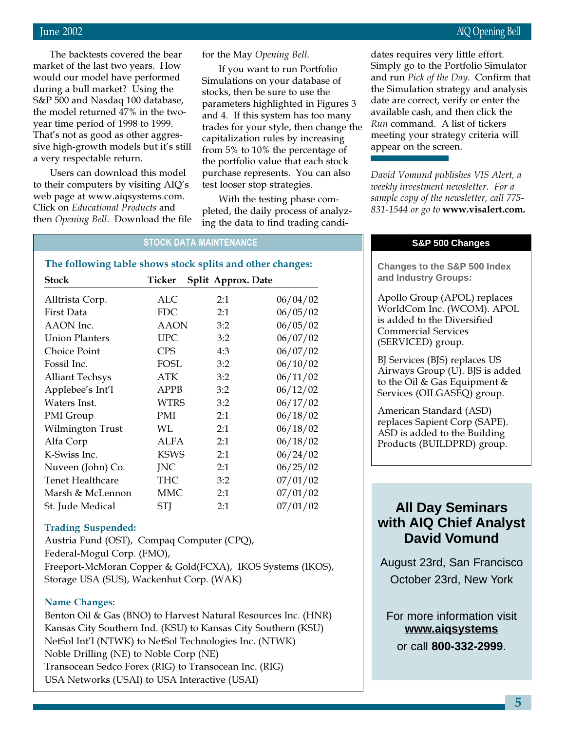June 2002 AIQ Opening Bell

The backtests covered the bear market of the last two years. How would our model have performed during a bull market? Using the S&P 500 and Nasdaq 100 database, the model returned 47% in the twoyear time period of 1998 to 1999. That's not as good as other aggressive high-growth models but it's still a very respectable return.

Users can download this model to their computers by visiting AIQ's web page at www.aiqsystems.com. Click on Educational Products and then Opening Bell. Download the file for the May Opening Bell.

If you want to run Portfolio Simulations on your database of stocks, then be sure to use the parameters highlighted in Figures 3 and 4. If this system has too many trades for your style, then change the capitalization rules by increasing from 5% to 10% the percentage of the portfolio value that each stock purchase represents. You can also test looser stop strategies.

With the testing phase completed, the daily process of analyzing the data to find trading candi-

STOCK DATA MAINTENANCE

# The following table shows stock splits and other changes:

| Stock                  | Ticker      | Split Approx. Date |          |
|------------------------|-------------|--------------------|----------|
| Alltrista Corp.        | ALC         | 2:1                | 06/04/02 |
| First Data             | FDC.        | 2:1                | 06/05/02 |
| AAON Inc.              | AAON        | 3:2                | 06/05/02 |
| <b>Union Planters</b>  | <b>UPC</b>  | 3:2                | 06/07/02 |
| Choice Point           | <b>CPS</b>  | 4:3                | 06/07/02 |
| Fossil Inc.            | <b>FOSL</b> | 3:2                | 06/10/02 |
| <b>Alliant Techsys</b> | ATK         | 3:2                | 06/11/02 |
| Applebee's Int'l       | <b>APPB</b> | 3:2                | 06/12/02 |
| Waters Inst.           | WTRS        | 3:2                | 06/17/02 |
| PMI Group              | PMI         | 2:1                | 06/18/02 |
| Wilmington Trust       | WL          | 2:1                | 06/18/02 |
| Alfa Corp              | ALFA        | 2:1                | 06/18/02 |
| K-Swiss Inc.           | KSWS        | 2:1                | 06/24/02 |
| Nuveen (John) Co.      | <b>INC</b>  | 2:1                | 06/25/02 |
| Tenet Healthcare       | THC         | 3:2                | 07/01/02 |
| Marsh & McLennon       | MMC         | 2:1                | 07/01/02 |
| St. Jude Medical       | <b>STJ</b>  | 2:1                | 07/01/02 |

# Trading Suspended:

Austria Fund (OST), Compaq Computer (CPQ), Federal-Mogul Corp. (FMO), Freeport-McMoran Copper & Gold(FCXA), IKOS Systems (IKOS), Storage USA (SUS), Wackenhut Corp. (WAK)

## Name Changes:

Benton Oil & Gas (BNO) to Harvest Natural Resources Inc. (HNR) Kansas City Southern Ind. (KSU) to Kansas City Southern (KSU) NetSol Int'l (NTWK) to NetSol Technologies Inc. (NTWK) Noble Drilling (NE) to Noble Corp (NE) Transocean Sedco Forex (RIG) to Transocean Inc. (RIG) USA Networks (USAI) to USA Interactive (USAI)

dates requires very little effort. Simply go to the Portfolio Simulator and run Pick of the Day. Confirm that the Simulation strategy and analysis date are correct, verify or enter the available cash, and then click the Run command. A list of tickers meeting your strategy criteria will appear on the screen.

David Vomund publishes VIS Alert, a weekly investment newsletter. For a sample copy of the newsletter, call 775- 831-1544 or go to www.visalert.com.

# **S&P 500 Changes**

**Changes to the S&P 500 Index and Industry Groups:**

Apollo Group (APOL) replaces WorldCom Inc. (WCOM). APOL is added to the Diversified Commercial Services (SERVICED) group.

BJ Services (BJS) replaces US Airways Group (U). BJS is added to the Oil & Gas Equipment & Services (OILGASEQ) group.

American Standard (ASD) replaces Sapient Corp (SAPE). ASD is added to the Building Products (BUILDPRD) group.

# **All Day Seminars with AIQ Chief Analyst David Vomund**

August 23rd, San Francisco October 23rd, New York

For more information visit **www.aiqsystems** or call **800-332-2999**.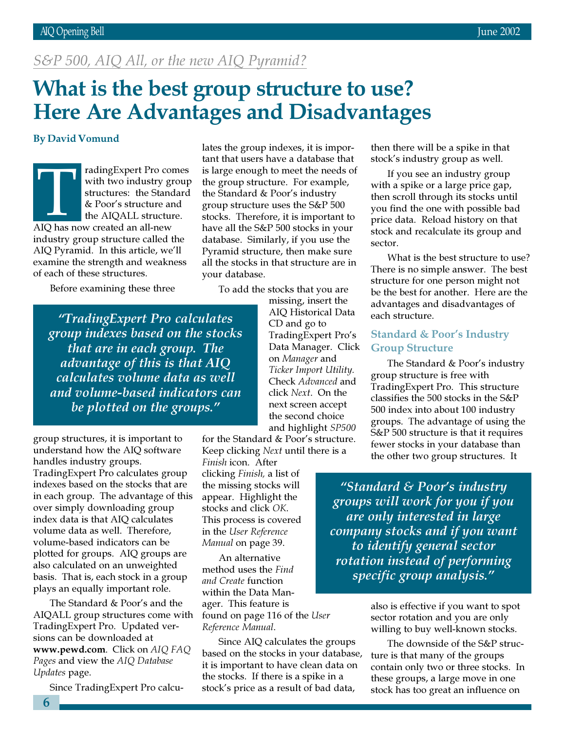# S&P 500, AIQ All, or the new AIQ Pyramid?

# What is the best group structure to use? Here Are Advantages and Disadvantages

# By David Vomund

radingExpert Pro comes with two industry group structures: the Standard & Poor's structure and the AIQALL structure. radingExpert Pro co<br>
with two industry g<br>
structures: the Stand<br>
& Poor's structure as<br>
the AIQALL structure<br>
AIQ has now created an all-new industry group structure called the AIQ Pyramid. In this article, we'll examine the strength and weakness of each of these structures.

Before examining these three

"TradingExpert Pro calculates group indexes based on the stocks that are in each group. The advantage of this is that AIQ calculates volume data as well and volume-based indicators can be plotted on the groups."

group structures, it is important to understand how the AIQ software handles industry groups. TradingExpert Pro calculates group indexes based on the stocks that are in each group. The advantage of this over simply downloading group index data is that AIQ calculates volume data as well. Therefore, volume-based indicators can be plotted for groups. AIQ groups are also calculated on an unweighted basis. That is, each stock in a group plays an equally important role.

The Standard & Poor's and the AIQALL group structures come with TradingExpert Pro. Updated versions can be downloaded at www.pewd.com. Click on AIQ FAQ Pages and view the AIQ Database Updates page.

Since TradingExpert Pro calcu-

lates the group indexes, it is important that users have a database that is large enough to meet the needs of the group structure. For example, the Standard & Poor's industry group structure uses the S&P 500 stocks. Therefore, it is important to have all the S&P 500 stocks in your database. Similarly, if you use the Pyramid structure, then make sure all the stocks in that structure are in your database.

To add the stocks that you are

missing, insert the AIQ Historical Data CD and go to TradingExpert Pro's Data Manager. Click on Manager and Ticker Import Utility. Check Advanced and click Next. On the next screen accept the second choice and highlight SP500

for the Standard & Poor's structure. Keep clicking Next until there is a

Finish icon. After clicking Finish, a list of the missing stocks will appear. Highlight the stocks and click OK. This process is covered in the User Reference Manual on page 39.

An alternative method uses the Find and Create function within the Data Manager. This feature is found on page 116 of the User Reference Manual.

Since AIQ calculates the groups based on the stocks in your database, it is important to have clean data on the stocks. If there is a spike in a stock's price as a result of bad data,

then there will be a spike in that stock's industry group as well.

If you see an industry group with a spike or a large price gap, then scroll through its stocks until you find the one with possible bad price data. Reload history on that stock and recalculate its group and sector.

What is the best structure to use? There is no simple answer. The best structure for one person might not be the best for another. Here are the advantages and disadvantages of each structure.

# Standard & Poor's Industry Group Structure

The Standard & Poor's industry group structure is free with TradingExpert Pro. This structure classifies the 500 stocks in the S&P 500 index into about 100 industry groups. The advantage of using the S&P 500 structure is that it requires fewer stocks in your database than the other two group structures. It

"Standard & Poor's industry groups will work for you if you are only interested in large company stocks and if you want to identify general sector rotation instead of performing specific group analysis."

> also is effective if you want to spot sector rotation and you are only willing to buy well-known stocks.

The downside of the S&P structure is that many of the groups contain only two or three stocks. In these groups, a large move in one stock has too great an influence on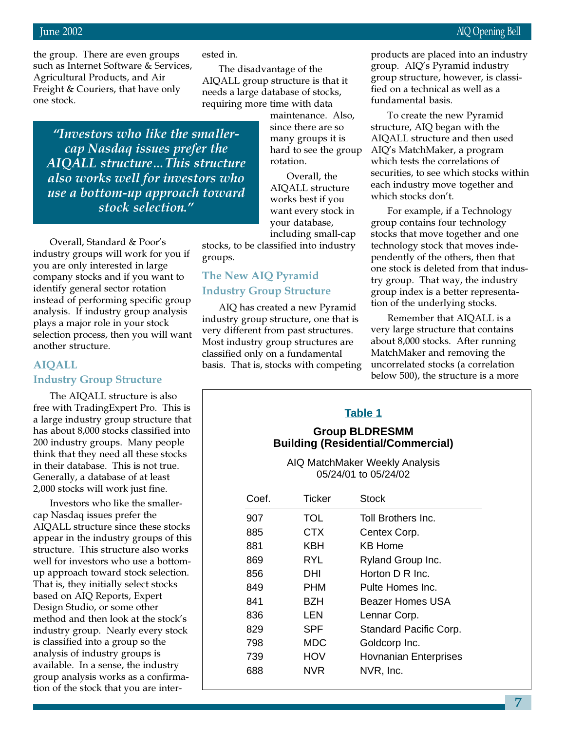the group. There are even groups such as Internet Software & Services, Agricultural Products, and Air Freight & Couriers, that have only one stock.

ested in.

The disadvantage of the AIQALL group structure is that it needs a large database of stocks, requiring more time with data

"Investors who like the smallercap Nasdaq issues prefer the AIQALL structure…This structure also works well for investors who use a bottom-up approach toward stock selection."

Overall, Standard & Poor's industry groups will work for you if you are only interested in large company stocks and if you want to identify general sector rotation instead of performing specific group analysis. If industry group analysis plays a major role in your stock selection process, then you will want another structure.

# AIQALL Industry Group Structure

The AIQALL structure is also free with TradingExpert Pro. This is a large industry group structure that has about 8,000 stocks classified into 200 industry groups. Many people think that they need all these stocks in their database. This is not true. Generally, a database of at least 2,000 stocks will work just fine.

Investors who like the smallercap Nasdaq issues prefer the AIQALL structure since these stocks appear in the industry groups of this structure. This structure also works well for investors who use a bottomup approach toward stock selection. That is, they initially select stocks based on AIQ Reports, Expert Design Studio, or some other method and then look at the stock's industry group. Nearly every stock is classified into a group so the analysis of industry groups is available. In a sense, the industry group analysis works as a confirmation of the stock that you are intermaintenance. Also, since there are so many groups it is hard to see the group rotation.

Overall, the AIQALL structure works best if you want every stock in your database, including small-cap

stocks, to be classified into industry groups.

# The New AIQ Pyramid Industry Group Structure

AIQ has created a new Pyramid industry group structure, one that is very different from past structures. Most industry group structures are classified only on a fundamental basis. That is, stocks with competing products are placed into an industry group. AIQ's Pyramid industry group structure, however, is classified on a technical as well as a fundamental basis.

To create the new Pyramid structure, AIQ began with the AIQALL structure and then used AIQ's MatchMaker, a program which tests the correlations of securities, to see which stocks within each industry move together and which stocks don't.

For example, if a Technology group contains four technology stocks that move together and one technology stock that moves independently of the others, then that one stock is deleted from that industry group. That way, the industry group index is a better representation of the underlying stocks.

Remember that AIQALL is a very large structure that contains about 8,000 stocks. After running MatchMaker and removing the uncorrelated stocks (a correlation below 500), the structure is a more

# **Table 1**

# **Group BLDRESMM Building (Residential/Commercial)**

AIQ MatchMaker Weekly Analysis 05/24/01 to 05/24/02

| Coef. | Ticker     | Stock                        |
|-------|------------|------------------------------|
| 907   | TOL        | Toll Brothers Inc.           |
| 885   | CTX        | Centex Corp.                 |
| 881   | KBH        | KB Home                      |
| 869   | RYL        | Ryland Group Inc.            |
| 856   | DHI        | Horton D R Inc.              |
| 849   | PHM        | Pulte Homes Inc.             |
| 841   | BZH        | Beazer Homes USA             |
| 836   | LEN        | Lennar Corp.                 |
| 829   | SPF        | Standard Pacific Corp.       |
| 798   | <b>MDC</b> | Goldcorp Inc.                |
| 739   | HOV        | <b>Hovnanian Enterprises</b> |
| 688   | NVR        | NVR, Inc.                    |